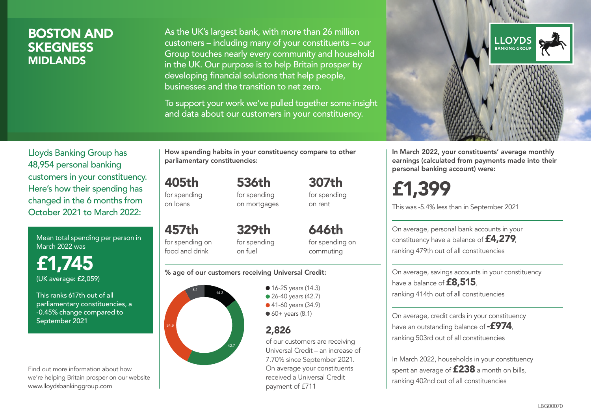## BOSTON AND **SKEGNESS** MIDLANDS

As the UK's largest bank, with more than 26 million customers – including many of your constituents – our Group touches nearly every community and household in the UK. Our purpose is to help Britain prosper by developing financial solutions that help people, businesses and the transition to net zero.

To support your work we've pulled together some insight and data about our customers in your constituency.



Mean total spending per person in March 2022 was

£1,745 (UK average: £2,059)

This ranks 617th out of all parliamentary constituencies, a -0.45% change compared to September 2021

Find out more information about how we're helping Britain prosper on our website www.lloydsbankinggroup.com

How spending habits in your constituency compare to other parliamentary constituencies:

536th

405th for spending on loans

457th for spending on food and drink

for spending on mortgages 307th for spending on rent

329th for spending on fuel

646th for spending on commuting

#### % age of our customers receiving Universal Credit:



• 16-25 years (14.3) • 26-40 years (42.7) ● 41-60 years (34.9)  $60+$  years (8.1)

### 2,826

of our customers are receiving Universal Credit – an increase of 7.70% since September 2021. On average your constituents received a Universal Credit payment of £711



In March 2022, your constituents' average monthly earnings (calculated from payments made into their personal banking account) were:

£1,399

This was -5.4% less than in September 2021

On average, personal bank accounts in your constituency have a balance of £4,279, ranking 479th out of all constituencies

On average, savings accounts in your constituency have a balance of **£8,515**, ranking 414th out of all constituencies

On average, credit cards in your constituency have an outstanding balance of **-£974**. ranking 503rd out of all constituencies

In March 2022, households in your constituency spent an average of **£238** a month on bills, ranking 402nd out of all constituencies